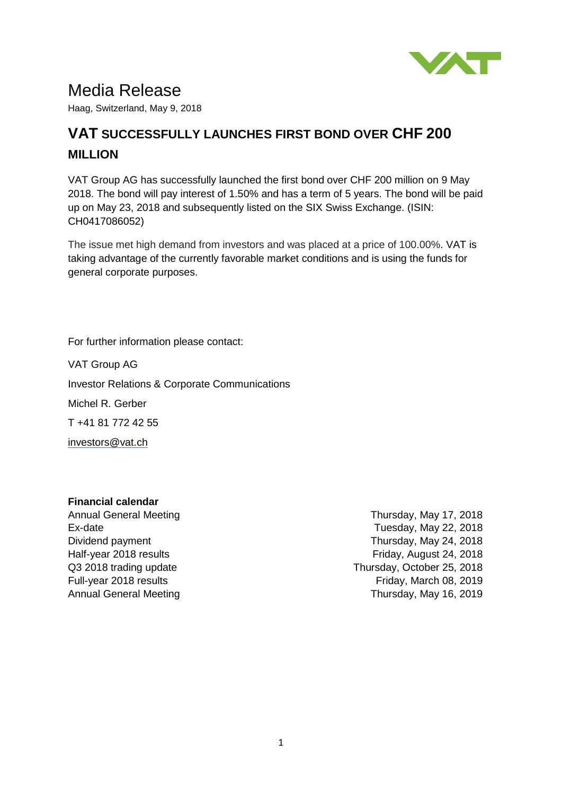

# Media Release

Haag, Switzerland, May 9, 2018

## **VAT SUCCESSFULLY LAUNCHES FIRST BOND OVER CHF 200 MILLION**

VAT Group AG has successfully launched the first bond over CHF 200 million on 9 May 2018. The bond will pay interest of 1.50% and has a term of 5 years. The bond will be paid up on May 23, 2018 and subsequently listed on the SIX Swiss Exchange. (ISIN: CH0417086052)

The issue met high demand from investors and was placed at a price of 100.00%. VAT is taking advantage of the currently favorable market conditions and is using the funds for general corporate purposes.

For further information please contact:

VAT Group AG Investor Relations & Corporate Communications Michel R. Gerber T +41 81 772 42 55 [investors@vat.ch](mailto:investors@vat.ch)

### **Financial calendar**

Full-year 2018 results Annual General Meeting

Annual General Meeting Thursday, May 17, 2018 Ex-date Tuesday, May 22, 2018 Dividend payment **Thursday, May 24, 2018** Half-year 2018 results Friday, August 24, 2018 Q3 2018 trading update Thursday, October 25, 2018 Friday, March 08, 2019 Thursday, May 16, 2019